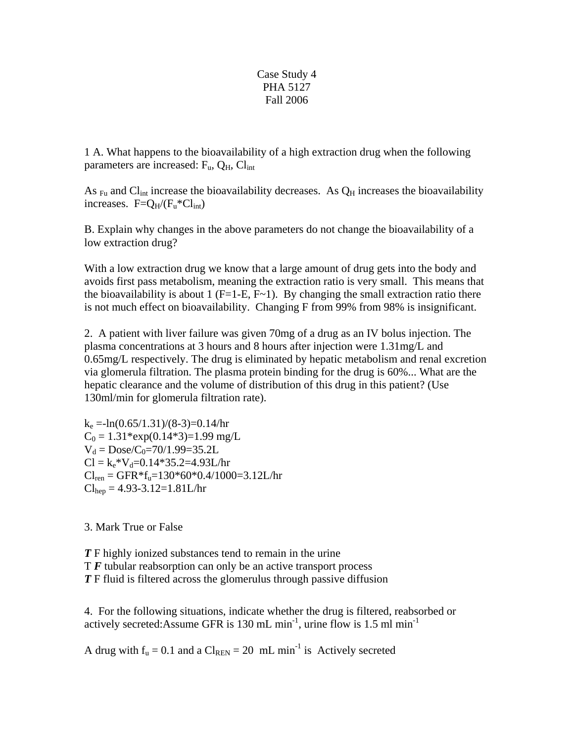## Case Study 4 PHA 5127 Fall 2006

1 A. What happens to the bioavailability of a high extraction drug when the following parameters are increased:  $F_u$ ,  $Q_H$ ,  $Cl_{int}$ 

As  $_{\text{Fu}}$  and Cl<sub>int</sub> increase the bioavailability decreases. As  $Q_H$  increases the bioavailability increases.  $F = Q_H / (F_u * Cl_{int})$ 

B. Explain why changes in the above parameters do not change the bioavailability of a low extraction drug?

With a low extraction drug we know that a large amount of drug gets into the body and avoids first pass metabolism, meaning the extraction ratio is very small. This means that the bioavailability is about 1 ( $F=1-E$ ,  $F\sim 1$ ). By changing the small extraction ratio there is not much effect on bioavailability. Changing F from 99% from 98% is insignificant.

2. A patient with liver failure was given 70mg of a drug as an IV bolus injection. The plasma concentrations at 3 hours and 8 hours after injection were 1.31mg/L and 0.65mg/L respectively. The drug is eliminated by hepatic metabolism and renal excretion via glomerula filtration. The plasma protein binding for the drug is 60%... What are the hepatic clearance and the volume of distribution of this drug in this patient? (Use 130ml/min for glomerula filtration rate).

 $k_e = -ln(0.65/1.31)/(8-3) = 0.14/hr$  $C_0 = 1.31$ \*exp $(0.14$ \*3 $)=1.99$  mg/L  $V_d = \text{Dose}/C_0 = 70/1.99 = 35.2L$  $Cl = k_e * V_d = 0.14 * 35.2 = 4.93L/hr$  $Cl_{ren} = GFR * f_u = 130 * 60 * 0.4 / 1000 = 3.12 L/hr$  $Cl<sub>hep</sub> = 4.93-3.12=1.81L/hr$ 

3. Mark True or False

*T* F highly ionized substances tend to remain in the urine T *F* tubular reabsorption can only be an active transport process *T* F fluid is filtered across the glomerulus through passive diffusion

4. For the following situations, indicate whether the drug is filtered, reabsorbed or actively secreted:Assume GFR is 130 mL min<sup>-1</sup>, urine flow is 1.5 ml min<sup>-1</sup>

A drug with  $f_u = 0.1$  and a  $Cl_{REN} = 20$  mL min<sup>-1</sup> is Actively secreted